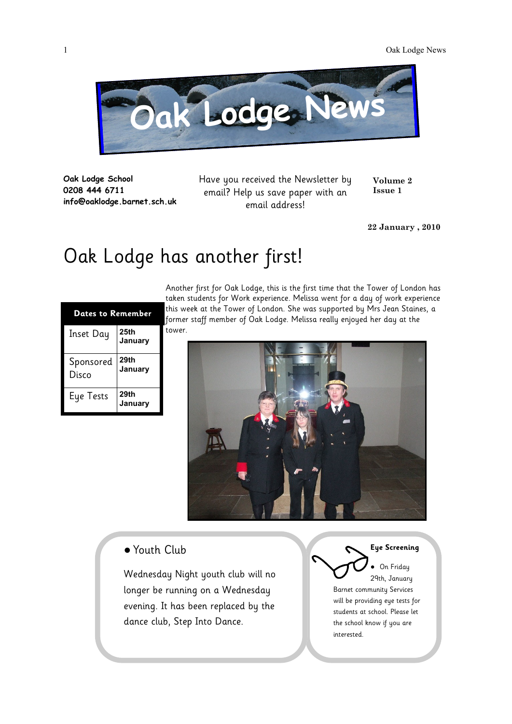

**Oak Lodge School 0208 444 6711 info@oaklodge.barnet.sch.uk** Have you received the Newsletter by email? Help us save paper with an email address!

**Volume 2 Issue 1**

**22 January , 2010**

## Oak Lodge has another first!

| Dates to Reme <u>mber</u> |                 |
|---------------------------|-----------------|
| <b>Inset Day</b>          | 25th<br>January |
| Sponsored<br>Disco        | 29th<br>January |
| Eye Tests                 | 29th<br>January |

Another first for Oak Lodge, this is the first time that the Tower of London has taken students for Work experience. Melissa went for a day of work experience this week at the Tower of London. She was supported by Mrs Jean Staines, a former staff member of Oak Lodge. Melissa really enjoyed her day at the tower.



● Youth Club

Wednesday Night youth club will no longer be running on a Wednesday evening. It has been replaced by the dance club, Step Into Dance.

**Eye Screening** On Friday 29th, January Barnet community Services will be providing eye tests for students at school. Please let the school know if you are interested.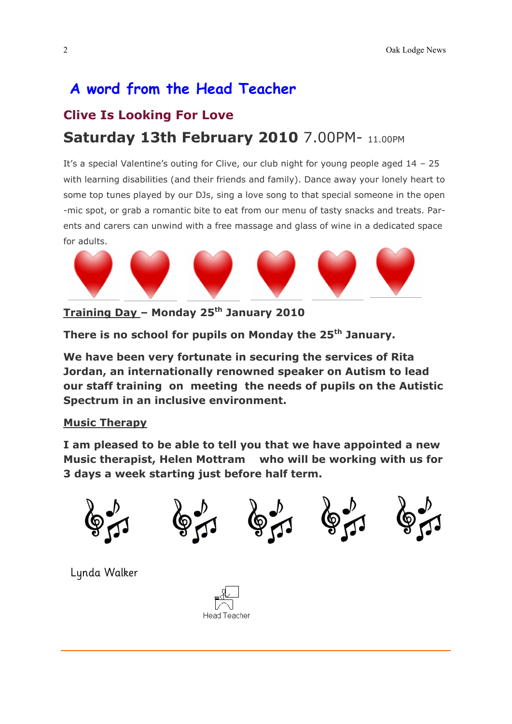## **A word from the Head Teacher Clive Is Looking For Love Saturday 13th February 2010** 7.00PM- 11.00PM

It's a special Valentine's outing for Clive, our club night for young people aged 14 – 25 with learning disabilities (and their friends and family). Dance away your lonely heart to some top tunes played by our DJs, sing a love song to that special someone in the open -mic spot, or grab a romantic bite to eat from our menu of tasty snacks and treats. Parents and carers can unwind with a free massage and glass of wine in a dedicated space for adults.



**Training Day – Monday 25th January 2010**

**There is no school for pupils on Monday the 25th January.** 

**We have been very fortunate in securing the services of Rita Jordan, an internationally renowned speaker on Autism to lead our staff training on meeting the needs of pupils on the Autistic Spectrum in an inclusive environment.**

## **Music Therapy**

**I am pleased to be able to tell you that we have appointed a new Music therapist, Helen Mottram who will be working with us for 3 days a week starting just before half term.** 



Lynda Walker

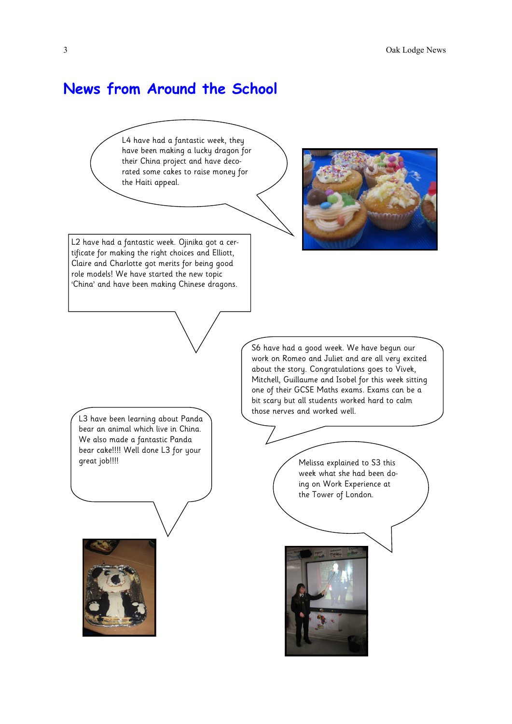## **News from Around the School**